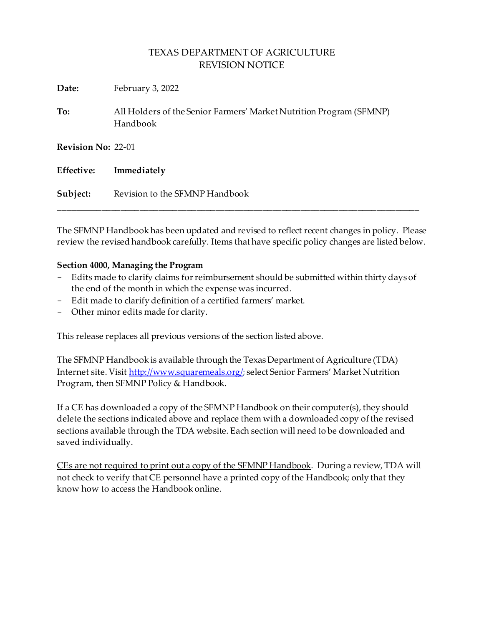| Date:              | February 3, 2022                                                                |  |
|--------------------|---------------------------------------------------------------------------------|--|
| To:                | All Holders of the Senior Farmers' Market Nutrition Program (SFMNP)<br>Handbook |  |
| Revision No: 22-01 |                                                                                 |  |
| Effective:         | Immediately                                                                     |  |
| Subject:           | Revision to the SFMNP Handbook                                                  |  |

The SFMNP Handbook has been updated and revised to reflect recent changes in policy. Please review the revised handbook carefully. Items that have specific policy changes are listed below.

### **Section 4000, Managing the Program**

- Edits made to clarify claims for reimbursement should be submitted within thirty days of the end of the month in which the expense was incurred.
- Edit made to clarify definition of a certified farmers' market.
- Other minor edits made for clarity.

This release replaces all previous versions of the section listed above.

The SFMNP Handbook is available through the Texas Department of Agriculture (TDA) Internet site. Visi[t http://www.squaremeals.org/](http://www.squaremeals.org/); select Senior Farmers' Market Nutrition Program, then SFMNP Policy & Handbook.

If a CE has downloaded a copy of the SFMNP Handbook on their computer(s), they should delete the sections indicated above and replace them with a downloaded copy of the revised sections available through the TDA website. Each section will need to be downloaded and saved individually.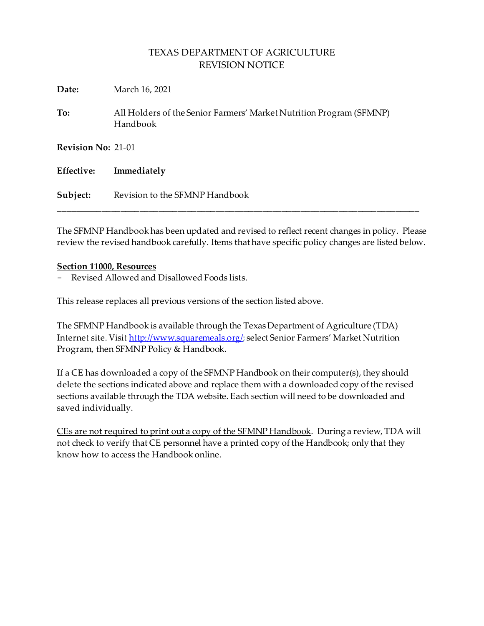| Date:      | March 16, 2021                                                                  |  |  |
|------------|---------------------------------------------------------------------------------|--|--|
| To:        | All Holders of the Senior Farmers' Market Nutrition Program (SFMNP)<br>Handbook |  |  |
|            | <b>Revision No: 21-01</b>                                                       |  |  |
| Effective: | Immediately                                                                     |  |  |
| Subject:   | Revision to the SFMNP Handbook                                                  |  |  |

The SFMNP Handbook has been updated and revised to reflect recent changes in policy. Please review the revised handbook carefully. Items that have specific policy changes are listed below.

#### **Section 11000, Resources**

- Revised Allowed and Disallowed Foods lists.

This release replaces all previous versions of the section listed above.

The SFMNP Handbook is available through the Texas Department of Agriculture (TDA) Internet site. Visi[t http://www.squaremeals.org/](http://www.squaremeals.org/); select Senior Farmers' Market Nutrition Program, then SFMNP Policy & Handbook.

If a CE has downloaded a copy of the SFMNP Handbook on their computer(s), they should delete the sections indicated above and replace them with a downloaded copy of the revised sections available through the TDA website. Each section will need to be downloaded and saved individually.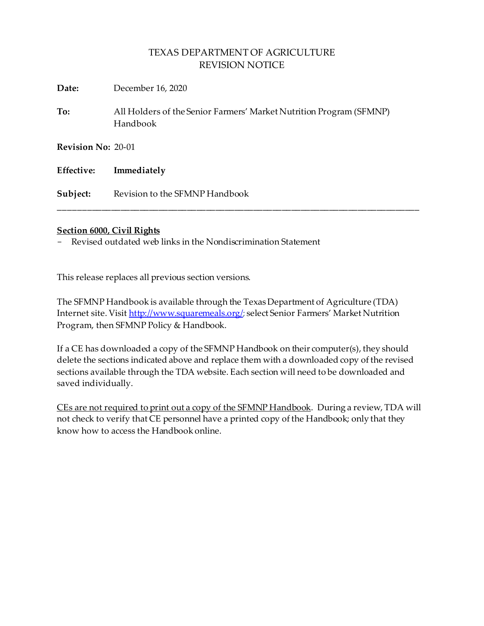| Date:              | December 16, 2020                                                               |  |
|--------------------|---------------------------------------------------------------------------------|--|
| To:                | All Holders of the Senior Farmers' Market Nutrition Program (SFMNP)<br>Handbook |  |
| Revision No: 20-01 |                                                                                 |  |
| Effective:         | Immediately                                                                     |  |
| Subject:           | Revision to the SFMNP Handbook                                                  |  |

#### **Section 6000, Civil Rights**

- Revised outdated web links in the Nondiscrimination Statement

This release replaces all previous section versions.

The SFMNP Handbook is available through the Texas Department of Agriculture (TDA) Internet site. Visi[t http://www.squaremeals.org/](http://www.squaremeals.org/); select Senior Farmers' Market Nutrition Program, then SFMNP Policy & Handbook.

If a CE has downloaded a copy of the SFMNP Handbook on their computer(s), they should delete the sections indicated above and replace them with a downloaded copy of the revised sections available through the TDA website. Each section will need to be downloaded and saved individually.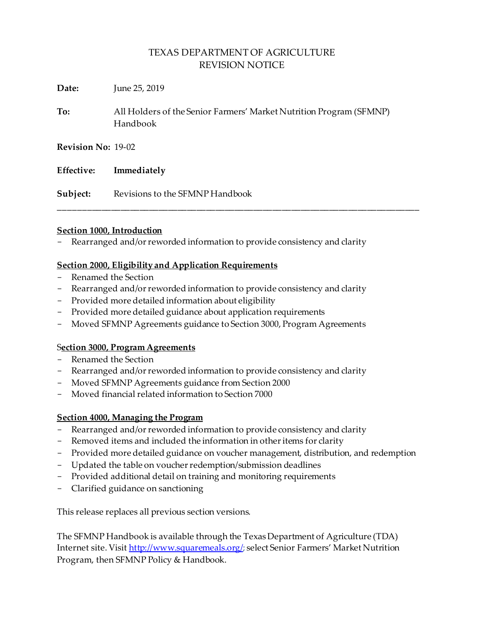\_\_\_\_\_\_\_\_\_\_\_\_\_\_\_\_\_\_\_\_\_\_\_\_\_\_\_\_\_\_\_\_\_\_\_\_\_\_\_\_\_\_\_\_\_\_\_\_\_\_\_\_\_\_\_\_\_\_\_\_\_\_\_\_\_\_\_\_\_\_\_\_\_\_\_\_

**Date:** June 25, 2019

**To:** All Holders of the Senior Farmers' Market Nutrition Program (SFMNP) Handbook

**Revision No:** 19-02

|          | Effective: Immediately          |
|----------|---------------------------------|
| Subject: | Revisions to the SFMNP Handbook |

#### **Section 1000, Introduction**

- Rearranged and/or reworded information to provide consistency and clarity

### **Section 2000, Eligibility and Application Requirements**

- Renamed the Section
- Rearranged and/or reworded information to provide consistency and clarity
- Provided more detailed information about eligibility
- Provided more detailed guidance about application requirements
- Moved SFMNP Agreements guidance to Section 3000, Program Agreements

### S**ection 3000, Program Agreements**

- Renamed the Section
- Rearranged and/or reworded information to provide consistency and clarity
- Moved SFMNP Agreements guidance from Section 2000
- Moved financial related information to Section 7000

### **Section 4000, Managing the Program**

- Rearranged and/or reworded information to provide consistency and clarity
- Removed items and included the information in other items for clarity
- Provided more detailed guidance on voucher management, distribution, and redemption
- Updated the table on voucher redemption/submission deadlines
- Provided additional detail on training and monitoring requirements
- Clarified guidance on sanctioning

This release replaces all previous section versions.

The SFMNP Handbook is available through the Texas Department of Agriculture (TDA) Internet site. Visi[t http://www.squaremeals.org/](http://www.squaremeals.org/); select Senior Farmers' Market Nutrition Program, then SFMNP Policy & Handbook.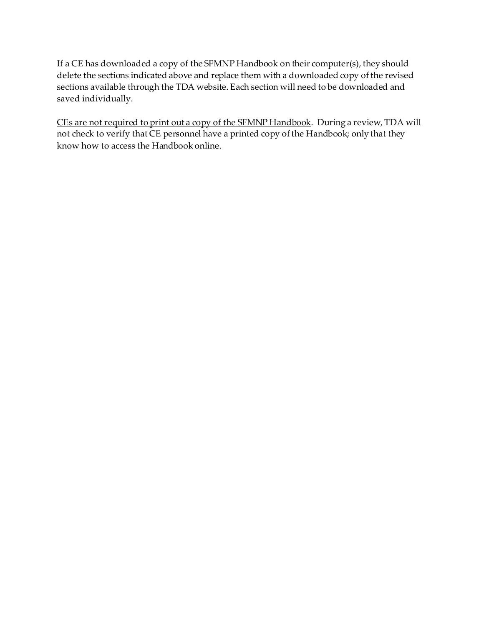If a CE has downloaded a copy of the SFMNP Handbook on their computer(s), they should delete the sections indicated above and replace them with a downloaded copy of the revised sections available through the TDA website. Each section will need to be downloaded and saved individually.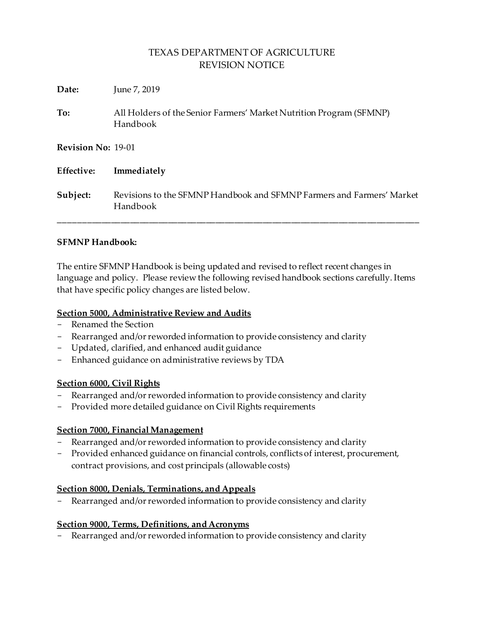| Date:              | June 7, 2019                                                                      |
|--------------------|-----------------------------------------------------------------------------------|
| To:                | All Holders of the Senior Farmers' Market Nutrition Program (SFMNP)<br>Handbook   |
| Revision No: 19-01 |                                                                                   |
| <b>Effective:</b>  | Immediately                                                                       |
| Subject:           | Revisions to the SFMNP Handbook and SFMNP Farmers and Farmers' Market<br>Handbook |

### **SFMNP Handbook:**

The entire SFMNP Handbook is being updated and revised to reflect recent changes in language and policy. Please review the following revised handbook sections carefully. Items that have specific policy changes are listed below.

### **Section 5000, Administrative Review and Audits**

- Renamed the Section
- Rearranged and/or reworded information to provide consistency and clarity
- Updated, clarified, and enhanced audit guidance
- Enhanced guidance on administrative reviews by TDA

### **Section 6000, Civil Rights**

- Rearranged and/or reworded information to provide consistency and clarity
- Provided more detailed guidance on Civil Rights requirements

### **Section 7000, Financial Management**

- Rearranged and/or reworded information to provide consistency and clarity
- Provided enhanced guidance on financial controls, conflicts of interest, procurement, contract provisions, and cost principals (allowable costs)

### **Section 8000, Denials, Terminations, and Appeals**

Rearranged and/or reworded information to provide consistency and clarity

### **Section 9000, Terms, Definitions, and Acronyms**

- Rearranged and/or reworded information to provide consistency and clarity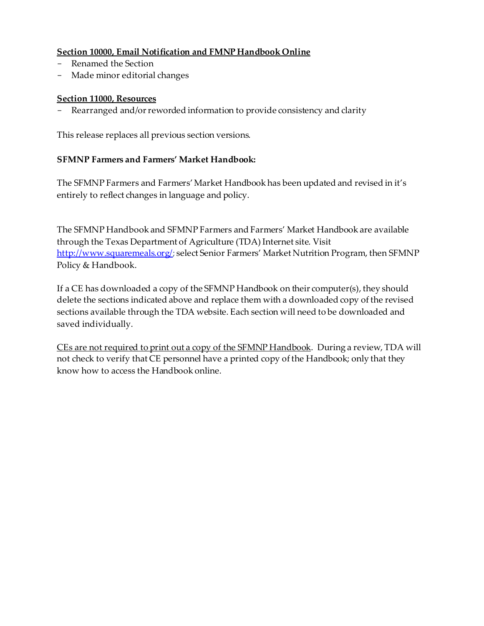### **Section 10000, Email Notification and FMNP Handbook Online**

- Renamed the Section
- Made minor editorial changes

#### **Section 11000, Resources**

- Rearranged and/or reworded information to provide consistency and clarity

This release replaces all previous section versions.

### **SFMNP Farmers and Farmers' Market Handbook:**

The SFMNP Farmers and Farmers' Market Handbook has been updated and revised in it's entirely to reflect changes in language and policy.

The SFMNP Handbook and SFMNP Farmers and Farmers' Market Handbook are available through the Texas Department of Agriculture (TDA) Internet site. Visit <http://www.squaremeals.org/>; select Senior Farmers' Market Nutrition Program, then SFMNP Policy & Handbook.

If a CE has downloaded a copy of the SFMNP Handbook on their computer(s), they should delete the sections indicated above and replace them with a downloaded copy of the revised sections available through the TDA website. Each section will need to be downloaded and saved individually.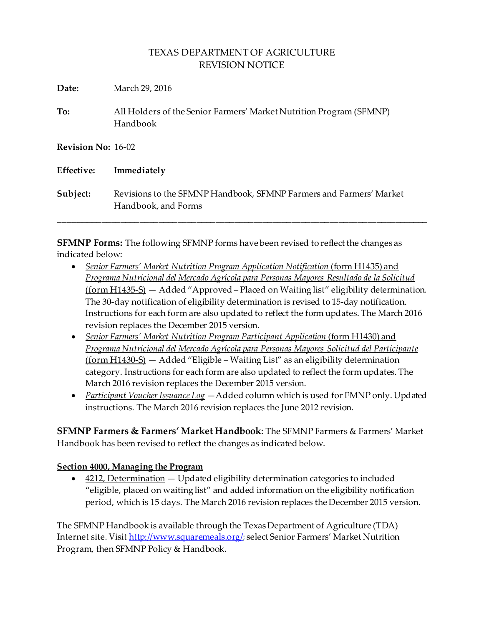**Date:** March 29, 2016

**To:** All Holders of the Senior Farmers' Market Nutrition Program (SFMNP) Handbook

**Revision No:** 16-02

| <b>Effective:</b> | Immediately                                                                               |
|-------------------|-------------------------------------------------------------------------------------------|
| Subject:          | Revisions to the SFMNP Handbook, SFMNP Farmers and Farmers' Market<br>Handbook, and Forms |

\_\_\_\_\_\_\_\_\_\_\_\_\_\_\_\_\_\_\_\_\_\_\_\_\_\_\_\_\_\_\_\_\_\_\_\_\_\_\_\_\_\_\_\_\_\_\_\_\_\_\_\_\_\_\_\_\_\_\_\_\_\_\_\_\_\_\_\_\_\_\_\_\_\_\_\_\_\_

**SFMNP Forms:** The following SFMNP forms have been revised to reflect the changes as indicated below:

- *Senior Farmers' Market Nutrition Program Application Notification (form H1435)* and *Programa Nutricional del Mercado Agrícola para Personas Mayores Resultado de la Solicitud* (form H1435-S) — Added "Approved – Placed on Waiting list" eligibility determination. The 30-day notification of eligibility determination is revised to 15-day notification. Instructions for each form are also updated to reflect the form updates. The March 2016 revision replaces the December 2015 version.
- *Senior Farmers' Market Nutrition Program Participant Application (form H1430)* and *Programa Nutricional del Mercado Agrícola para Personas Mayores Solicitud del Participante* (form H1430-S) — Added "Eligible – Waiting List" as an eligibility determination category. Instructions for each form are also updated to reflect the form updates. The March 2016 revision replaces the December 2015 version.
- *Participant Voucher Issuance Log* —Added column which is used for FMNP only. Updated instructions. The March 2016 revision replaces the June 2012 revision.

**SFMNP Farmers & Farmers' Market Handbook**: The SFMNP Farmers & Farmers' Market Handbook has been revised to reflect the changes as indicated below.

### **Section 4000, Managing the Program**

 $\bullet$  4212, Determination  $-$  Updated eligibility determination categories to included "eligible, placed on waiting list" and added information on the eligibility notification period, which is 15 days. The March 2016 revision replaces the December 2015 version.

The SFMNP Handbook is available through the Texas Department of Agriculture (TDA) Internet site. Visi[t http://www.squaremeals.org/](http://www.squaremeals.org/); select Senior Farmers' Market Nutrition Program, then SFMNP Policy & Handbook.